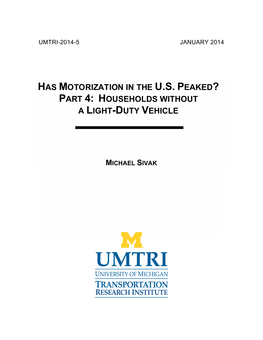UMTRI-2014-5 JANUARY 2014

# **HAS MOTORIZATION IN THE U.S. PEAKED? PART 4: HOUSEHOLDS WITHOUT A LIGHT-DUTY VEHICLE**

**MICHAEL SIVAK**

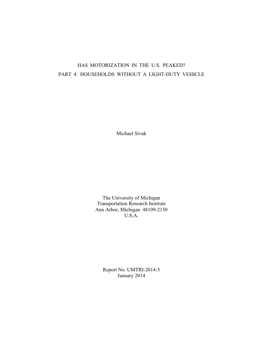# HAS MOTORIZATION IN THE U.S. PEAKED? PART 4: HOUSEHOLDS WITHOUT A LIGHT-DUTY VEHICLE

Michael Sivak

The University of Michigan Transportation Research Institute Ann Arbor, Michigan 48109-2150 U.S.A.

Report No. UMTRI-2014-5 January 2014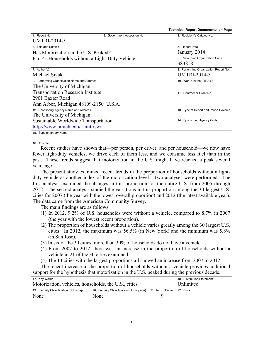|                                                 |                             | <b>Technical Report Documentation Page</b> |
|-------------------------------------------------|-----------------------------|--------------------------------------------|
| 1. Report No.                                   | 2. Government Accession No. | 3. Recipient's Catalog No.                 |
| <b>UMTRI-2014-5</b>                             |                             |                                            |
| 4. Title and Subtitle                           |                             | 5. Report Date                             |
| Has Motorization in the U.S. Peaked?            |                             | January 2014                               |
| Part 4: Households without a Light-Duty Vehicle |                             | 6. Performing Organization Code            |
|                                                 |                             | 383818                                     |
| 7. Author(s)                                    |                             | 8. Performing Organization Report No.      |
| Michael Sivak                                   |                             | <b>UMTRI-2014-5</b>                        |
| 9. Performing Organization Name and Address     |                             | 10. Work Unit no. (TRAIS)                  |
| The University of Michigan                      |                             |                                            |
| <b>Transportation Research Institute</b>        |                             | 11. Contract or Grant No.                  |
| 2901 Baxter Road                                |                             |                                            |
| Ann Arbor, Michigan 48109-2150 U.S.A.           |                             |                                            |
| 12. Sponsoring Agency Name and Address          |                             | 13. Type of Report and Period Covered      |
| The University of Michigan                      |                             |                                            |
| Sustainable Worldwide Transportation            |                             | 14. Sponsoring Agency Code                 |
| http://www.umich.edu/~umtriswt                  |                             |                                            |
| 15. Supplementary Notes                         |                             |                                            |
|                                                 |                             |                                            |

16. Abstract

Recent studies have shown that—per person, per driver, and per household—we now have fewer light-duty vehicles, we drive each of them less, and we consume less fuel than in the past. These trends suggest that motorization in the U.S. might have reached a peak several years ago.

The present study examined recent trends in the proportion of households without a lightduty vehicle as another index of the motorization level. Two analyses were performed. The first analysis examined the changes in this proportion for the entire U.S. from 2005 through 2012. The second analysis studied the variations in this proportion among the 30 largest U.S. cities for 2007 (the year with the lowest overall proportion) and 2012 (the latest available year). The data came from the American Community Survey.

The main findings are as follows:

- (1) In 2012, 9.2% of U.S. households were without a vehicle, compared to 8.7% in 2007 (the year with the lowest recent proportion).
- (2) The proportion of households without a vehicle varies greatly among the 30 largest U.S. cities: In 2012, the maximum was 56.5% (in New York) and the minimum was 5.8% (in San Jose).
- (3) In six of the 30 cities, more than 30% of households do not have a vehicle.
- (4) From 2007 to 2012, there was an increase in the proportion of households without a vehicle in 21 of the 30 cities examined.
- (5) The 13 cities with the largest proportions all showed an increase from 2007 to 2012.

The recent increase in the proportion of households without a vehicle provides additional support for the hypothesis that motorization in the U.S. peaked during the previous decade.

| 17. Key Words                                        | 18. Distribution Statement                 |                            |           |
|------------------------------------------------------|--------------------------------------------|----------------------------|-----------|
| Motorization, vehicles, households, the U.S., cities |                                            |                            | Unlimited |
| 19. Security Classification (of this report)         | 20. Security Classification (of this page) | 21. No. of Pages 22. Price |           |
| None                                                 | None                                       |                            |           |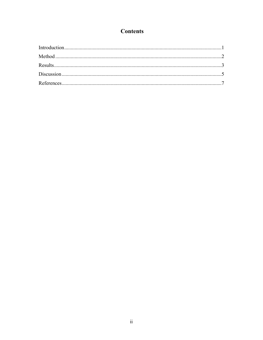# **Contents**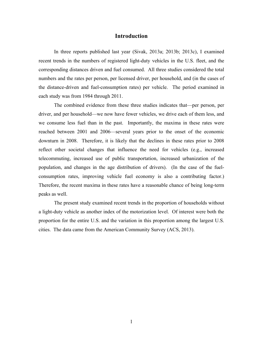### **Introduction**

In three reports published last year (Sivak, 2013a; 2013b; 2013c), I examined recent trends in the numbers of registered light-duty vehicles in the U.S. fleet, and the corresponding distances driven and fuel consumed. All three studies considered the total numbers and the rates per person, per licensed driver, per household, and (in the cases of the distance-driven and fuel-consumption rates) per vehicle. The period examined in each study was from 1984 through 2011.

The combined evidence from these three studies indicates that—per person, per driver, and per household—we now have fewer vehicles, we drive each of them less, and we consume less fuel than in the past. Importantly, the maxima in these rates were reached between 2001 and 2006—several years prior to the onset of the economic downturn in 2008. Therefore, it is likely that the declines in these rates prior to 2008 reflect other societal changes that influence the need for vehicles (e.g., increased telecommuting, increased use of public transportation, increased urbanization of the population, and changes in the age distribution of drivers). (In the case of the fuelconsumption rates, improving vehicle fuel economy is also a contributing factor.) Therefore, the recent maxima in these rates have a reasonable chance of being long-term peaks as well.

The present study examined recent trends in the proportion of households without a light-duty vehicle as another index of the motorization level. Of interest were both the proportion for the entire U.S. and the variation in this proportion among the largest U.S. cities. The data came from the American Community Survey (ACS, 2013).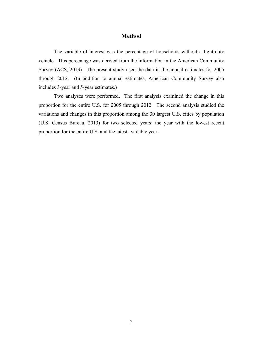## **Method**

The variable of interest was the percentage of households without a light-duty vehicle. This percentage was derived from the information in the American Community Survey (ACS, 2013). The present study used the data in the annual estimates for 2005 through 2012. (In addition to annual estimates, American Community Survey also includes 3-year and 5-year estimates.)

Two analyses were performed. The first analysis examined the change in this proportion for the entire U.S. for 2005 through 2012. The second analysis studied the variations and changes in this proportion among the 30 largest U.S. cities by population (U.S. Census Bureau, 2013) for two selected years: the year with the lowest recent proportion for the entire U.S. and the latest available year.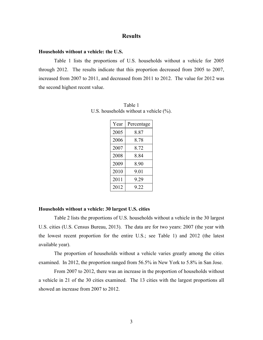## **Results**

#### **Households without a vehicle: the U.S.**

Table 1 lists the proportions of U.S. households without a vehicle for 2005 through 2012. The results indicate that this proportion decreased from 2005 to 2007, increased from 2007 to 2011, and decreased from 2011 to 2012. The value for 2012 was the second highest recent value.

| Year | Percentage |
|------|------------|
| 2005 | 8 87       |
| 2006 | 8.78       |
| 2007 | 8.72       |
| 2008 | 8 84       |
| 2009 | 8 90       |
| 2010 | 901        |
| 2011 | 9 29       |
| 2012 | 9.22       |

Table 1 U.S. households without a vehicle  $(\% )$ .

### **Households without a vehicle: 30 largest U.S. cities**

Table 2 lists the proportions of U.S. households without a vehicle in the 30 largest U.S. cities (U.S. Census Bureau, 2013). The data are for two years: 2007 (the year with the lowest recent proportion for the entire U.S.; see Table 1) and 2012 (the latest available year).

The proportion of households without a vehicle varies greatly among the cities examined. In 2012, the proportion ranged from 56.5% in New York to 5.8% in San Jose.

From 2007 to 2012, there was an increase in the proportion of households without a vehicle in 21 of the 30 cities examined. The 13 cities with the largest proportions all showed an increase from 2007 to 2012.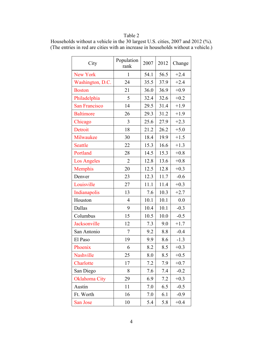# Table 2

|  | Households without a vehicle in the 30 largest U.S. cities, 2007 and 2012 (%).    |  |  |
|--|-----------------------------------------------------------------------------------|--|--|
|  | (The entries in red are cities with an increase in households without a vehicle.) |  |  |

| City                 | Population<br>rank | 2007 | 2012 | Change |
|----------------------|--------------------|------|------|--------|
| New York             | 1                  | 54.1 | 56.5 | $+2.4$ |
| Washington, D.C.     | 24                 | 35.5 | 37.9 | $+2.4$ |
| <b>Boston</b>        | 21                 | 36.0 | 36.9 | $+0.9$ |
| Philadelphia         | 5                  | 32.4 | 32.6 | $+0.2$ |
| <b>San Francisco</b> | 14                 | 29.5 | 31.4 | $+1.9$ |
| <b>Baltimore</b>     | 26                 | 29.3 | 31.2 | $+1.9$ |
| Chicago              | 3                  | 25.6 | 27.9 | $+2.3$ |
| Detroit              | 18                 | 21.2 | 26.2 | $+5.0$ |
| Milwaukee            | 30                 | 18.4 | 19.9 | $+1.5$ |
| <b>Seattle</b>       | 22                 | 15.3 | 16.6 | $+1.3$ |
| Portland             | 28                 | 14.5 | 15.3 | $+0.8$ |
| <b>Los Angeles</b>   | $\overline{2}$     | 12.8 | 13.6 | $+0.8$ |
| Memphis              | 20                 | 12.5 | 12.8 | $+0.3$ |
| Denver               | 23                 | 12.3 | 11.7 | $-0.6$ |
| Louisville           | 27                 | 11.1 | 11.4 | $+0.3$ |
| Indianapolis         | 13                 | 7.6  | 10.3 | $+2.7$ |
| Houston              | 4                  | 10.1 | 10.1 | 0.0    |
| Dallas               | 9                  | 10.4 | 10.1 | $-0.3$ |
| Columbus             | 15                 | 10.5 | 10.0 | $-0.5$ |
| Jacksonville         | 12                 | 7.3  | 9.0  | $+1.7$ |
| San Antonio          | 7                  | 9.2  | 8.8  | $-0.4$ |
| El Paso              | 19                 | 9.9  | 8.6  | $-1.3$ |
| Phoenix              | 6                  | 8.2  | 8.5  | $+0.3$ |
| Nashville            | 25                 | 8.0  | 8.5  | $+0.5$ |
| Charlotte            | 17                 | 7.2  | 7.9  | $+0.7$ |
| San Diego            | 8                  | 7.6  | 7.4  | $-0.2$ |
| Oklahoma City        | 29                 | 6.9  | 7.2  | $+0.3$ |
| Austin               | 11                 | 7.0  | 6.5  | $-0.5$ |
| Ft. Worth            | 16                 | 7.0  | 6.1  | $-0.9$ |
| San Jose             | 10                 | 5.4  | 5.8  | $+0.4$ |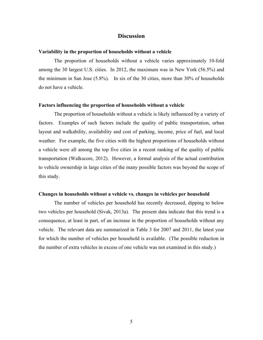## **Discussion**

### **Variability in the proportion of households without a vehicle**

The proportion of households without a vehicle varies approximately 10-fold among the 30 largest U.S. cities. In 2012, the maximum was in New York (56.5%) and the minimum in San Jose (5.8%). In six of the 30 cities, more than 30% of households do not have a vehicle.

#### **Factors influencing the proportion of households without a vehicle**

The proportion of households without a vehicle is likely influenced by a variety of factors. Examples of such factors include the quality of public transportation, urban layout and walkability, availability and cost of parking, income, price of fuel, and local weather. For example, the five cities with the highest proportions of households without a vehicle were all among the top five cities in a recent ranking of the quality of public transportation (Walkscore, 2012). However, a formal analysis of the actual contribution to vehicle ownership in large cities of the many possible factors was beyond the scope of this study.

#### **Changes in households without a vehicle vs. changes in vehicles per household**

The number of vehicles per household has recently decreased, dipping to below two vehicles per household (Sivak, 2013a). The present data indicate that this trend is a consequence, at least in part, of an increase in the proportion of households without any vehicle. The relevant data are summarized in Table 3 for 2007 and 2011, the latest year for which the number of vehicles per household is available. (The possible reduction in the number of extra vehicles in excess of one vehicle was not examined in this study.)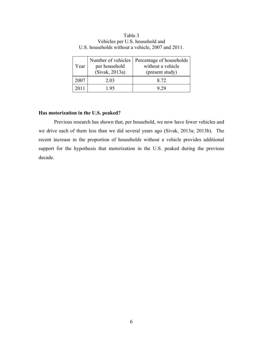| Year | Number of vehicles<br>per household<br>(Sivak, 2013a) | Percentage of households<br>without a vehicle<br>(present study) |
|------|-------------------------------------------------------|------------------------------------------------------------------|
| 2007 | 2.03                                                  | 8.72                                                             |
| 2011 | 195                                                   | - 79                                                             |

Table 3 Vehicles per U.S. household and U.S. households without a vehicle, 2007 and 2011.

### **Has motorization in the U.S. peaked?**

Previous research has shown that, per household, we now have fewer vehicles and we drive each of them less than we did several years ago (Sivak, 2013a; 2013b). The recent increase in the proportion of households without a vehicle provides additional support for the hypothesis that motorization in the U.S. peaked during the previous decade.